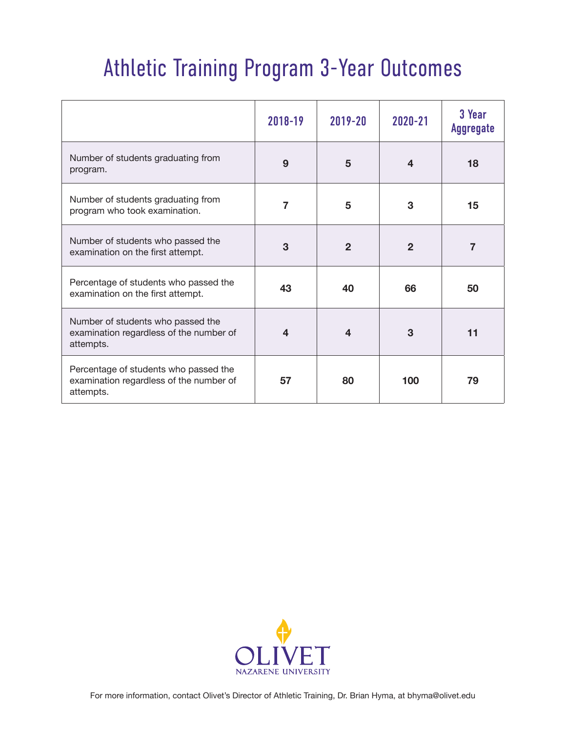## Athletic Training Program 3-Year Outcomes

|                                                                                               | 2018-19 | 2019-20                 | 2020-21        | 3 Year<br><b>Aggregate</b> |
|-----------------------------------------------------------------------------------------------|---------|-------------------------|----------------|----------------------------|
| Number of students graduating from<br>program.                                                | 9       | 5                       | 4              | 18                         |
| Number of students graduating from<br>program who took examination.                           | 7       | 5                       | 3              | 15                         |
| Number of students who passed the<br>examination on the first attempt.                        | 3       | $\overline{2}$          | $\overline{2}$ | $\overline{7}$             |
| Percentage of students who passed the<br>examination on the first attempt.                    | 43      | 40                      | 66             | 50                         |
| Number of students who passed the<br>examination regardless of the number of<br>attempts.     | 4       | $\overline{\mathbf{4}}$ | 3              | 11                         |
| Percentage of students who passed the<br>examination regardless of the number of<br>attempts. | 57      | 80                      | 100            | 79                         |

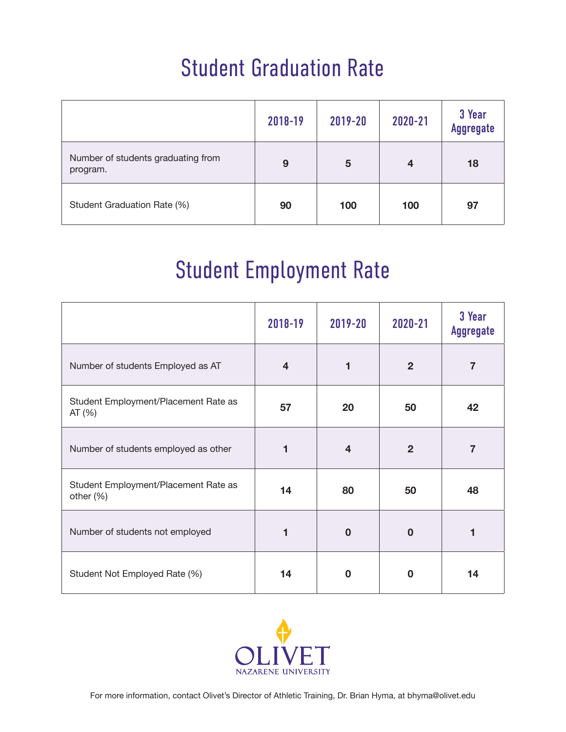## Student Graduation Rate

|                                                | 2018-19 | 2019-20 | 2020-21 | 3 Year<br><b>Aggregate</b> |
|------------------------------------------------|---------|---------|---------|----------------------------|
| Number of students graduating from<br>program. | 9       | 5       | 4       | 18                         |
| Student Graduation Rate (%)                    | 90      | 100     | 100     | 97                         |

## Student Employment Rate

|                                                   | 2018-19 | 2019-20        | 2020-21        | 3 Year<br><b>Aggregate</b> |
|---------------------------------------------------|---------|----------------|----------------|----------------------------|
| Number of students Employed as AT                 | 4       |                | $\overline{2}$ | $\overline{7}$             |
| Student Employment/Placement Rate as<br>AT(%)     | 57      | 20             | 50             | 42                         |
| Number of students employed as other              | 1       | $\overline{4}$ | $\overline{2}$ | $\overline{7}$             |
| Student Employment/Placement Rate as<br>other (%) | 14      | 80             | 50             | 48                         |
| Number of students not employed                   |         | $\bf{0}$       | $\Omega$       |                            |
| Student Not Employed Rate (%)                     | 14      | $\bf{0}$       | 0              | 14                         |